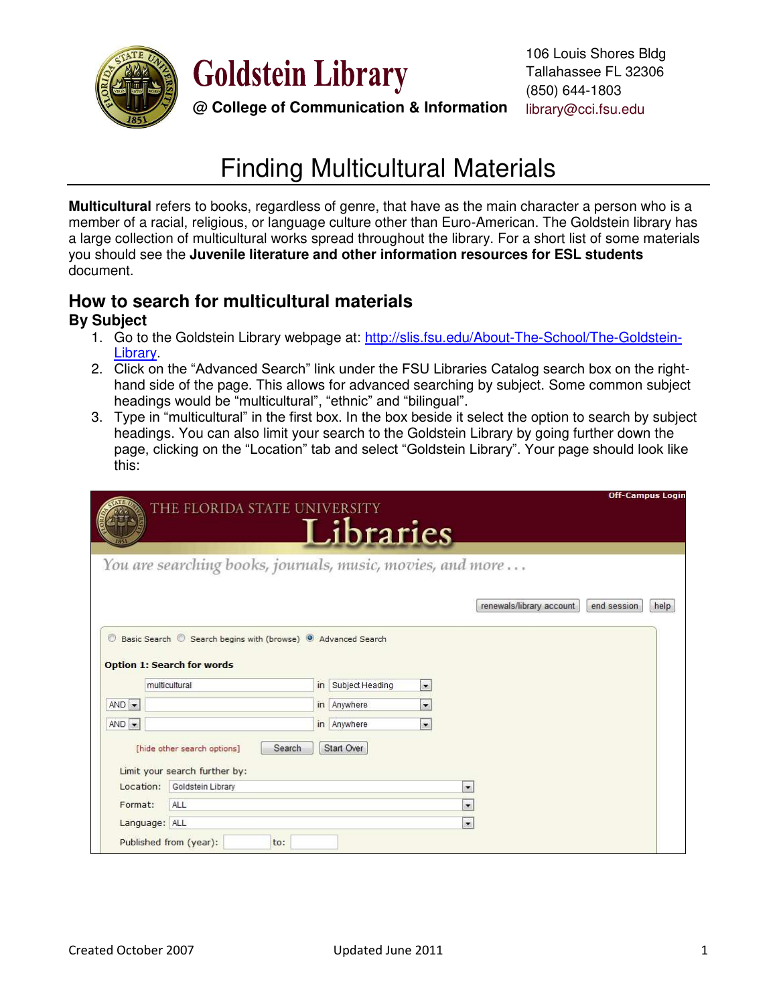

**Goldstein Library** 

**@ College of Communication & Information**

# Finding Multicultural Materials

**Multicultural** refers to books, regardless of genre, that have as the main character a person who is a member of a racial, religious, or language culture other than Euro-American. The Goldstein library has a large collection of multicultural works spread throughout the library. For a short list of some materials you should see the **Juvenile literature and other information resources for ESL students**  document.

## **How to search for multicultural materials By Subject**

- 1. Go to the Goldstein Library webpage at: [http://slis.fsu.edu/About-The-School/The-Goldstein-](http://slis.fsu.edu/About-The-School/The-Goldstein-Library)[Library.](http://slis.fsu.edu/About-The-School/The-Goldstein-Library)
- 2. Click on the "Advanced Search" link under the FSU Libraries Catalog search box on the righthand side of the page. This allows for advanced searching by subject. Some common subject headings would be "multicultural", "ethnic" and "bilingual".
- 3. Type in "multicultural" in the first box. In the box beside it select the option to search by subject headings. You can also limit your search to the Goldstein Library by going further down the page, clicking on the "Location" tab and select "Goldstein Library". Your page should look like this:

|                                | THE FLORIDA STATE UNIVERSITY                                 |                                                            | Libraries          |                          |                          | <b>Off-Campus Login</b> |      |
|--------------------------------|--------------------------------------------------------------|------------------------------------------------------------|--------------------|--------------------------|--------------------------|-------------------------|------|
|                                | You are searching books, journals, music, movies, and more   |                                                            |                    |                          |                          |                         |      |
|                                |                                                              |                                                            |                    |                          | renewals/library account | end session             | help |
| $\circledcirc$                 |                                                              | Basic Search Search begins with (browse) @ Advanced Search |                    |                          |                          |                         |      |
|                                |                                                              |                                                            |                    |                          |                          |                         |      |
|                                | <b>Option 1: Search for words</b>                            |                                                            |                    |                          |                          |                         |      |
|                                | multicultural                                                |                                                            | in Subject Heading | $\overline{\phantom{a}}$ |                          |                         |      |
|                                |                                                              |                                                            | in Anywhere        | $\overline{ }$           |                          |                         |      |
| $AND -$<br>$AND$ $\rightarrow$ |                                                              |                                                            | in Anywhere        | $\overline{\phantom{a}}$ |                          |                         |      |
|                                | [hide other search options]<br>Limit your search further by: | Search                                                     | Start Over         |                          |                          |                         |      |
| Location:                      | Goldstein Library                                            |                                                            |                    |                          | $\overline{\phantom{a}}$ |                         |      |
| Format:                        | ALL                                                          |                                                            |                    |                          | $\overline{\phantom{a}}$ |                         |      |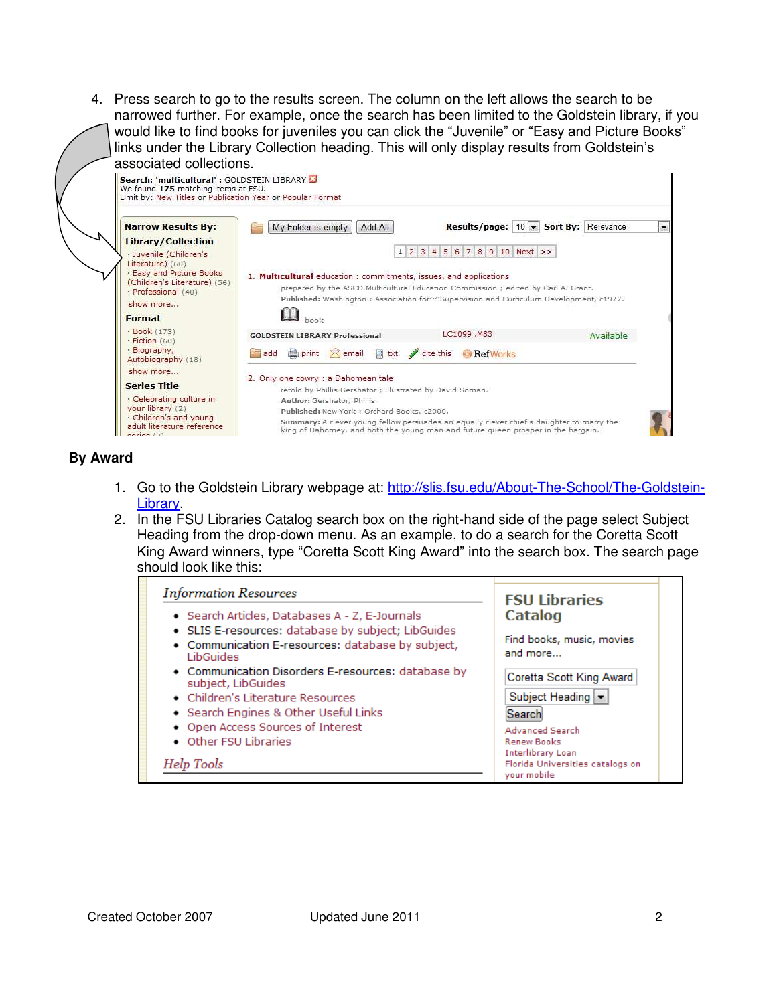4. Press search to go to the results screen. The column on the left allows the search to be narrowed further. For example, once the search has been limited to the Goldstein library, if you would like to find books for juveniles you can click the "Juvenile" or "Easy and Picture Books" links under the Library Collection heading. This will only display results from Goldstein's associated collections.



#### **By Award**

- 1. Go to the Goldstein Library webpage at: [http://slis.fsu.edu/About-The-School/The-Goldstein-](http://slis.fsu.edu/About-The-School/The-Goldstein-Library)**Library**
- 2. In the FSU Libraries Catalog search box on the right-hand side of the page select Subject Heading from the drop-down menu. As an example, to do a search for the Coretta Scott King Award winners, type "Coretta Scott King Award" into the search box. The search page should look like this:

| <b>Information Resources</b>                                                                                                                              | <b>FSU Libraries</b>                                                        |
|-----------------------------------------------------------------------------------------------------------------------------------------------------------|-----------------------------------------------------------------------------|
| • Search Articles, Databases A - Z, E-Journals<br>• SLIS E-resources: database by subject; LibGuides<br>• Communication E-resources: database by subject, | Catalog<br>Find books, music, movies                                        |
| <b>LibGuides</b><br>• Communication Disorders E-resources: database by<br>subject, LibGuides                                                              | and more<br>Coretta Scott King Award                                        |
| • Children's Literature Resources<br>• Search Engines & Other Useful Links                                                                                | Subject Heading  <br>Search                                                 |
| • Open Access Sources of Interest<br>• Other FSU Libraries                                                                                                | <b>Advanced Search</b><br><b>Renew Books</b>                                |
| Help Tools                                                                                                                                                | <b>Interlibrary Loan</b><br>Florida Universities catalogs on<br>your mobile |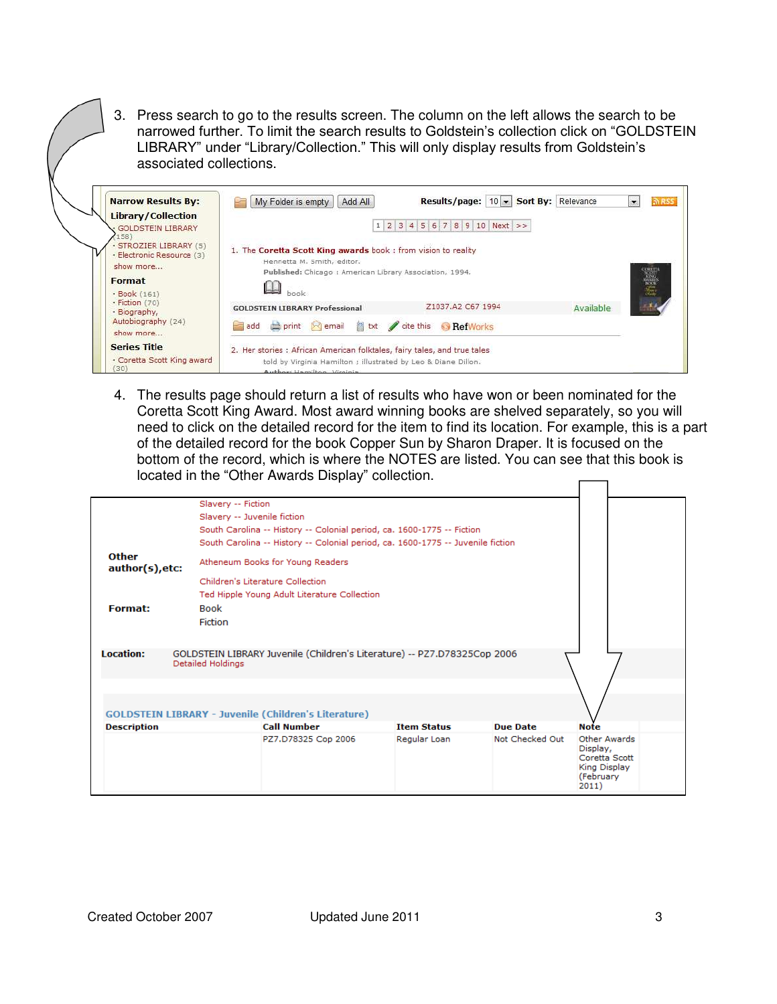3. Press search to go to the results screen. The column on the left allows the search to be narrowed further. To limit the search results to Goldstein's collection click on "GOLDSTEIN LIBRARY" under "Library/Collection." This will only display results from Goldstein's associated collections.

| <b>Narrow Results By:</b><br><b>Library/Collection</b>           | 10 - Sort By: Relevance<br>Results/page:<br>My Folder is empty<br>Add All                                                                                                | RSS       |
|------------------------------------------------------------------|--------------------------------------------------------------------------------------------------------------------------------------------------------------------------|-----------|
| <b>GOLDSTEIN LIBRARY</b><br>158)                                 | $1 \ 2 \ 3 \ 4 \ 5 \ 6 \ 7 \ 8 \ 9 \ 10 \ Next$ >>                                                                                                                       |           |
| · STROZIER LIBRARY (5)<br>· Electronic Resource (3)<br>show more | 1. The Coretta Scott King awards book : from vision to reality<br>Henrietta M. Smith, editor.<br>Published: Chicago : American Library Association, 1994.                |           |
| Format<br>· Book (161)                                           | haak                                                                                                                                                                     | 警察        |
| · Fiction (70)<br>· Biography,                                   | Z1037.A2 C67 1994<br><b>GOLDSTEIN LIBRARY Professional</b>                                                                                                               | Available |
| Autobiography (24)<br>show more                                  | add <b>b</b> print Remail<br>a bt<br>cite this<br><b>RefWorks</b>                                                                                                        |           |
| <b>Series Title</b><br>· Coretta Scott King award<br>(30)        | 2. Her stories : African American folktales, fairy tales, and true tales<br>told by Virginia Hamilton ; illustrated by Leo & Diane Dillon.<br>Author: Hamilton, Virginia |           |

4. The results page should return a list of results who have won or been nominated for the Coretta Scott King Award. Most award winning books are shelved separately, so you will need to click on the detailed record for the item to find its location. For example, this is a part of the detailed record for the book Copper Sun by Sharon Draper. It is focused on the bottom of the record, which is where the NOTES are listed. You can see that this book is located in the "Other Awards Display" collection.  $\Gamma$  $\overline{\phantom{0}}$ 

|                                 | Slavery -- Fiction                                                                            |  |                    |                 |                                                                                        |  |
|---------------------------------|-----------------------------------------------------------------------------------------------|--|--------------------|-----------------|----------------------------------------------------------------------------------------|--|
|                                 | Slavery -- Juvenile fiction                                                                   |  |                    |                 |                                                                                        |  |
|                                 | South Carolina -- History -- Colonial period, ca. 1600-1775 -- Fiction                        |  |                    |                 |                                                                                        |  |
|                                 | South Carolina -- History -- Colonial period, ca. 1600-1775 -- Juvenile fiction               |  |                    |                 |                                                                                        |  |
| <b>Other</b><br>author(s), etc: | Atheneum Books for Young Readers                                                              |  |                    |                 |                                                                                        |  |
|                                 | Children's Literature Collection                                                              |  |                    |                 |                                                                                        |  |
|                                 | Ted Hipple Young Adult Literature Collection                                                  |  |                    |                 |                                                                                        |  |
| <b>Format:</b>                  | <b>Book</b>                                                                                   |  |                    |                 |                                                                                        |  |
|                                 | Fiction                                                                                       |  |                    |                 |                                                                                        |  |
|                                 |                                                                                               |  |                    |                 |                                                                                        |  |
|                                 |                                                                                               |  |                    |                 |                                                                                        |  |
| <b>Location:</b>                | GOLDSTEIN LIBRARY Juvenile (Children's Literature) -- PZ7.D78325Cop 2006<br>Detailed Holdings |  |                    |                 |                                                                                        |  |
|                                 |                                                                                               |  |                    |                 |                                                                                        |  |
|                                 |                                                                                               |  |                    |                 |                                                                                        |  |
|                                 |                                                                                               |  |                    |                 |                                                                                        |  |
|                                 | <b>GOLDSTEIN LIBRARY - Juvenile (Children's Literature)</b>                                   |  |                    |                 |                                                                                        |  |
| <b>Description</b>              | <b>Call Number</b>                                                                            |  | <b>Item Status</b> | <b>Due Date</b> | <b>Note</b>                                                                            |  |
|                                 | PZ7.D78325 Cop 2006                                                                           |  | Regular Loan       | Not Checked Out | <b>Other Awards</b><br>Display,<br>Coretta Scott<br>King Display<br>(February<br>2011) |  |